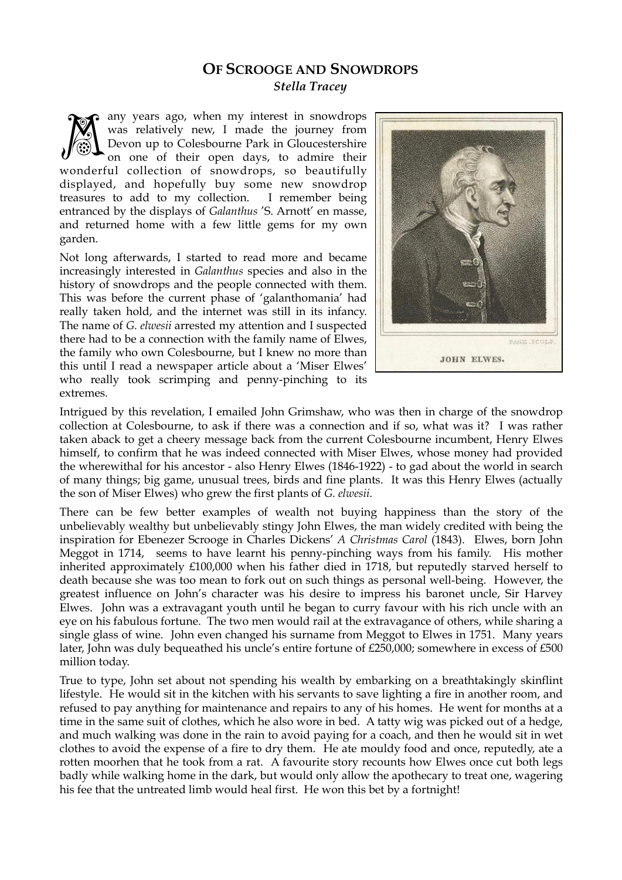## **OF SCROOGE AND SNOWDROPS**  *Stella Tracey*

any years ago, when my interest in snowdrops was relatively new, I made the journey from Devon up to Colesbourne Park in Gloucestershire on one of their open days, to admire their wonderful collection of snowdrops, so beautifully displayed, and hopefully buy some new snowdrop treasures to add to my collection. I remember being entranced by the displays of *Galanthus* 'S. Arnott' en masse, and returned home with a few little gems for my own garden. M

Not long afterwards, I started to read more and became increasingly interested in *Galanthus* species and also in the history of snowdrops and the people connected with them. This was before the current phase of 'galanthomania' had really taken hold, and the internet was still in its infancy. The name of *G. elwesii* arrested my attention and I suspected there had to be a connection with the family name of Elwes, the family who own Colesbourne, but I knew no more than this until I read a newspaper article about a 'Miser Elwes' who really took scrimping and penny-pinching to its extremes.



Intrigued by this revelation, I emailed John Grimshaw, who was then in charge of the snowdrop collection at Colesbourne, to ask if there was a connection and if so, what was it? I was rather taken aback to get a cheery message back from the current Colesbourne incumbent, Henry Elwes himself, to confirm that he was indeed connected with Miser Elwes, whose money had provided the wherewithal for his ancestor - also Henry Elwes (1846-1922) - to gad about the world in search of many things; big game, unusual trees, birds and fine plants. It was this Henry Elwes (actually the son of Miser Elwes) who grew the first plants of *G. elwesii*.

There can be few better examples of wealth not buying happiness than the story of the unbelievably wealthy but unbelievably stingy John Elwes, the man widely credited with being the inspiration for Ebenezer Scrooge in Charles Dickens' *A Christmas Carol* (1843). Elwes, born John Meggot in 1714, seems to have learnt his penny-pinching ways from his family. His mother inherited approximately £100,000 when his father died in 1718, but reputedly starved herself to death because she was too mean to fork out on such things as personal well-being. However, the greatest influence on John's character was his desire to impress his baronet uncle, Sir Harvey Elwes. John was a extravagant youth until he began to curry favour with his rich uncle with an eye on his fabulous fortune. The two men would rail at the extravagance of others, while sharing a single glass of wine. John even changed his surname from Meggot to Elwes in 1751. Many years later, John was duly bequeathed his uncle's entire fortune of £250,000; somewhere in excess of £500 million today.

True to type, John set about not spending his wealth by embarking on a breathtakingly skinflint lifestyle. He would sit in the kitchen with his servants to save lighting a fire in another room, and refused to pay anything for maintenance and repairs to any of his homes. He went for months at a time in the same suit of clothes, which he also wore in bed. A tatty wig was picked out of a hedge, and much walking was done in the rain to avoid paying for a coach, and then he would sit in wet clothes to avoid the expense of a fire to dry them. He ate mouldy food and once, reputedly, ate a rotten moorhen that he took from a rat. A favourite story recounts how Elwes once cut both legs badly while walking home in the dark, but would only allow the apothecary to treat one, wagering his fee that the untreated limb would heal first. He won this bet by a fortnight!